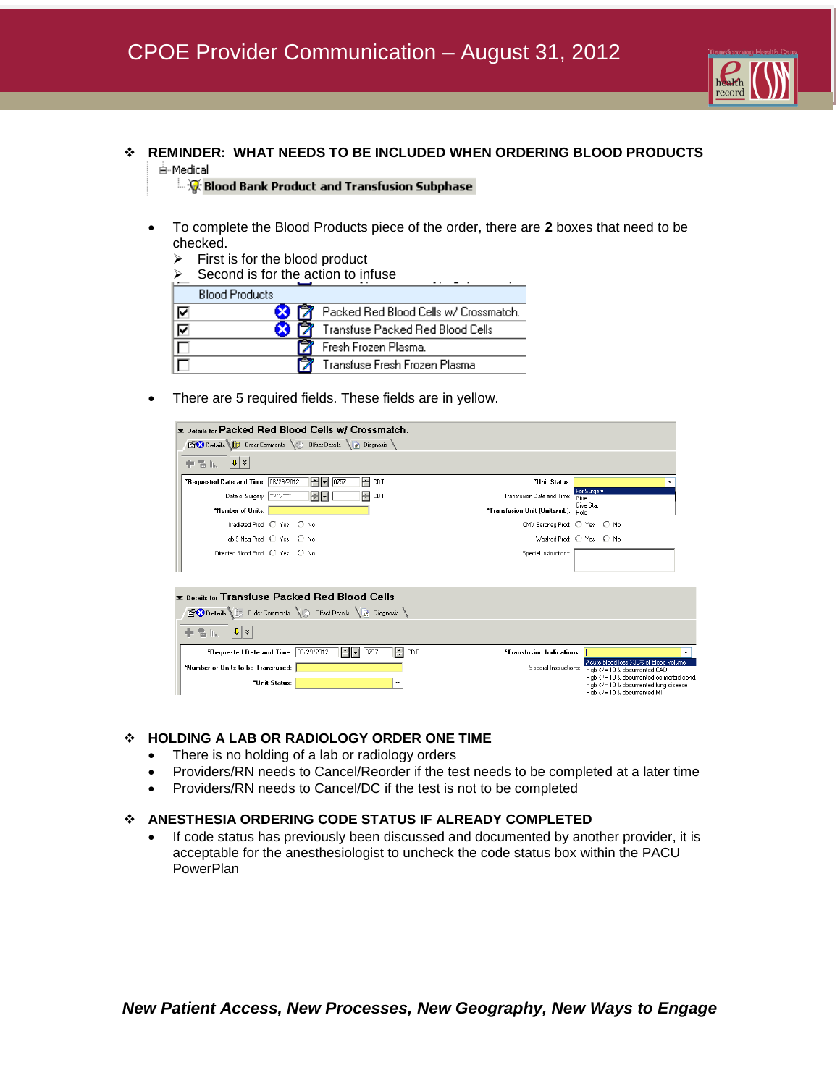

## **REMINDER: WHAT NEEDS TO BE INCLUDED WHEN ORDERING BLOOD PRODUCTS**  白·Medical

ं पूर्व Blood Bank Product and Transfusion Subphase

- To complete the Blood Products piece of the order, there are **2** boxes that need to be checked.
	- $\triangleright$  First is for the blood product

|   | Second is for the action to infuse    |  |  |  |  |  |  |
|---|---------------------------------------|--|--|--|--|--|--|
|   | <b>Blood Products</b>                 |  |  |  |  |  |  |
| ⊽ | Packed Red Blood Cells w/ Crossmatch. |  |  |  |  |  |  |
| ☑ | Transfuse Packed Red Blood Cells      |  |  |  |  |  |  |
|   | Fresh Frozen Plasma.                  |  |  |  |  |  |  |
|   | Transfuse Fresh Frozen Plasma         |  |  |  |  |  |  |

There are 5 required fields. These fields are in yellow.



## **HOLDING A LAB OR RADIOLOGY ORDER ONE TIME**

- There is no holding of a lab or radiology orders
- Providers/RN needs to Cancel/Reorder if the test needs to be completed at a later time
- Providers/RN needs to Cancel/DC if the test is not to be completed

#### **ANESTHESIA ORDERING CODE STATUS IF ALREADY COMPLETED**

 If code status has previously been discussed and documented by another provider, it is acceptable for the anesthesiologist to uncheck the code status box within the PACU **PowerPlan**